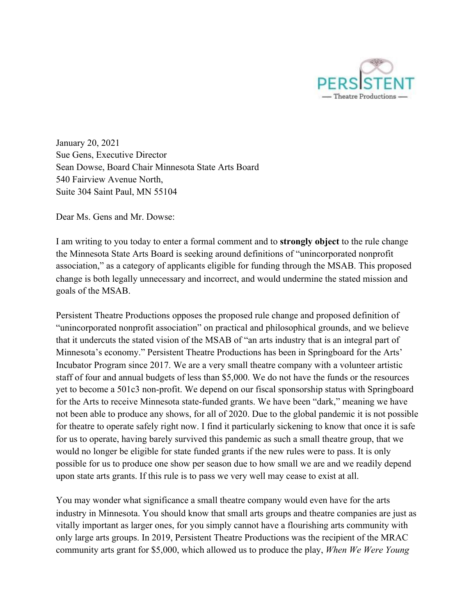

January 20, 2021 Sue Gens, Executive Director Sean Dowse, Board Chair Minnesota State Arts Board 540 Fairview Avenue North, Suite 304 Saint Paul, MN 55104

Dear Ms. Gens and Mr. Dowse:

I am writing to you today to enter a formal comment and to **strongly object** to the rule change the Minnesota State Arts Board is seeking around definitions of "unincorporated nonprofit association," as a category of applicants eligible for funding through the MSAB. This proposed change is both legally unnecessary and incorrect, and would undermine the stated mission and goals of the MSAB.

Persistent Theatre Productions opposes the proposed rule change and proposed definition of "unincorporated nonprofit association" on practical and philosophical grounds, and we believe that it undercuts the stated vision of the MSAB of "an arts industry that is an integral part of Minnesota's economy." Persistent Theatre Productions has been in Springboard for the Arts' Incubator Program since 2017. We are a very small theatre company with a volunteer artistic staff of four and annual budgets of less than \$5,000. We do not have the funds or the resources yet to become a 501c3 non-profit. We depend on our fiscal sponsorship status with Springboard for the Arts to receive Minnesota state-funded grants. We have been "dark," meaning we have not been able to produce any shows, for all of 2020. Due to the global pandemic it is not possible for theatre to operate safely right now. I find it particularly sickening to know that once it is safe for us to operate, having barely survived this pandemic as such a small theatre group, that we would no longer be eligible for state funded grants if the new rules were to pass. It is only possible for us to produce one show per season due to how small we are and we readily depend upon state arts grants. If this rule is to pass we very well may cease to exist at all.

You may wonder what significance a small theatre company would even have for the arts industry in Minnesota. You should know that small arts groups and theatre companies are just as vitally important as larger ones, for you simply cannot have a flourishing arts community with only large arts groups. In 2019, Persistent Theatre Productions was the recipient of the MRAC community arts grant for \$5,000, which allowed us to produce the play, *When We Were Young*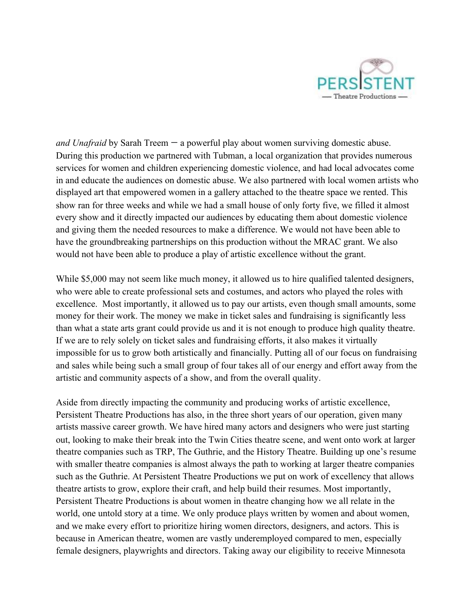

*and Unafraid* by Sarah Treem — a powerful play about women surviving domestic abuse. During this production we partnered with Tubman, a local organization that provides numerous services for women and children experiencing domestic violence, and had local advocates come in and educate the audiences on domestic abuse. We also partnered with local women artists who displayed art that empowered women in a gallery attached to the theatre space we rented. This show ran for three weeks and while we had a small house of only forty five, we filled it almost every show and it directly impacted our audiences by educating them about domestic violence and giving them the needed resources to make a difference. We would not have been able to have the groundbreaking partnerships on this production without the MRAC grant. We also would not have been able to produce a play of artistic excellence without the grant.

While \$5,000 may not seem like much money, it allowed us to hire qualified talented designers, who were able to create professional sets and costumes, and actors who played the roles with excellence. Most importantly, it allowed us to pay our artists, even though small amounts, some money for their work. The money we make in ticket sales and fundraising is significantly less than what a state arts grant could provide us and it is not enough to produce high quality theatre. If we are to rely solely on ticket sales and fundraising efforts, it also makes it virtually impossible for us to grow both artistically and financially. Putting all of our focus on fundraising and sales while being such a small group of four takes all of our energy and effort away from the artistic and community aspects of a show, and from the overall quality.

Aside from directly impacting the community and producing works of artistic excellence, Persistent Theatre Productions has also, in the three short years of our operation, given many artists massive career growth. We have hired many actors and designers who were just starting out, looking to make their break into the Twin Cities theatre scene, and went onto work at larger theatre companies such as TRP, The Guthrie, and the History Theatre. Building up one's resume with smaller theatre companies is almost always the path to working at larger theatre companies such as the Guthrie. At Persistent Theatre Productions we put on work of excellency that allows theatre artists to grow, explore their craft, and help build their resumes. Most importantly, Persistent Theatre Productions is about women in theatre changing how we all relate in the world, one untold story at a time. We only produce plays written by women and about women, and we make every effort to prioritize hiring women directors, designers, and actors. This is because in American theatre, women are vastly underemployed compared to men, especially female designers, playwrights and directors. Taking away our eligibility to receive Minnesota